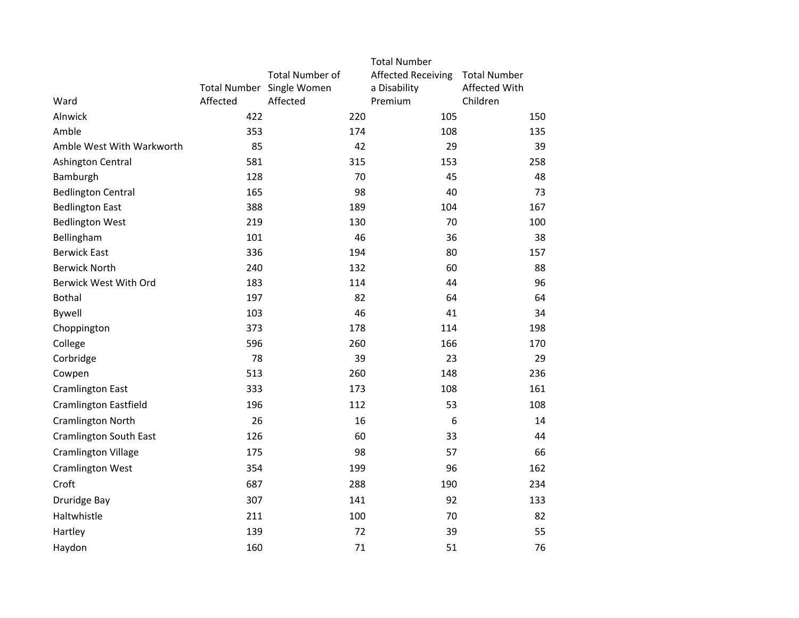|                               |          |                           | <b>Total Number</b>       |                     |
|-------------------------------|----------|---------------------------|---------------------------|---------------------|
|                               |          | <b>Total Number of</b>    | <b>Affected Receiving</b> | <b>Total Number</b> |
|                               |          | Total Number Single Women | a Disability              | Affected With       |
| Ward                          | Affected | Affected                  | Premium                   | Children            |
| Alnwick                       | 422      | 220                       | 105                       | 150                 |
| Amble                         | 353      | 174                       | 108                       | 135                 |
| Amble West With Warkworth     | 85       | 42                        | 29                        | 39                  |
| Ashington Central             | 581      | 315                       | 153                       | 258                 |
| Bamburgh                      | 128      | 70                        | 45                        | 48                  |
| <b>Bedlington Central</b>     | 165      | 98                        | 40                        | 73                  |
| <b>Bedlington East</b>        | 388      | 189                       | 104                       | 167                 |
| <b>Bedlington West</b>        | 219      | 130                       | 70                        | 100                 |
| Bellingham                    | 101      | 46                        | 36                        | 38                  |
| <b>Berwick East</b>           | 336      | 194                       | 80                        | 157                 |
| <b>Berwick North</b>          | 240      | 132                       | 60                        | 88                  |
| Berwick West With Ord         | 183      | 114                       | 44                        | 96                  |
| <b>Bothal</b>                 | 197      | 82                        | 64                        | 64                  |
| Bywell                        | 103      | 46                        | 41                        | 34                  |
| Choppington                   | 373      | 178                       | 114                       | 198                 |
| College                       | 596      | 260                       | 166                       | 170                 |
| Corbridge                     | 78       | 39                        | 23                        | 29                  |
| Cowpen                        | 513      | 260                       | 148                       | 236                 |
| <b>Cramlington East</b>       | 333      | 173                       | 108                       | 161                 |
| <b>Cramlington Eastfield</b>  | 196      | 112                       | 53                        | 108                 |
| <b>Cramlington North</b>      | 26       | 16                        | 6                         | 14                  |
| <b>Cramlington South East</b> | 126      | 60                        | 33                        | 44                  |
| <b>Cramlington Village</b>    | 175      | 98                        | 57                        | 66                  |
| <b>Cramlington West</b>       | 354      | 199                       | 96                        | 162                 |
| Croft                         | 687      | 288                       | 190                       | 234                 |
| Druridge Bay                  | 307      | 141                       | 92                        | 133                 |
| Haltwhistle                   | 211      | 100                       | 70                        | 82                  |
| Hartley                       | 139      | 72                        | 39                        | 55                  |
| Haydon                        | 160      | 71                        | 51                        | 76                  |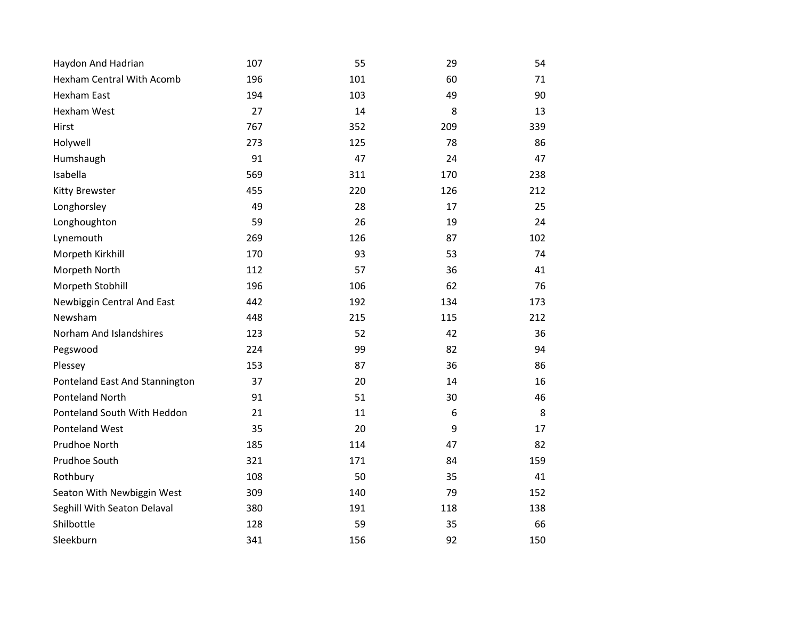| Haydon And Hadrian               | 107 | 55  | 29  | 54  |
|----------------------------------|-----|-----|-----|-----|
| <b>Hexham Central With Acomb</b> | 196 | 101 | 60  | 71  |
| <b>Hexham East</b>               | 194 | 103 | 49  | 90  |
| Hexham West                      | 27  | 14  | 8   | 13  |
| Hirst                            | 767 | 352 | 209 | 339 |
| Holywell                         | 273 | 125 | 78  | 86  |
| Humshaugh                        | 91  | 47  | 24  | 47  |
| Isabella                         | 569 | 311 | 170 | 238 |
| <b>Kitty Brewster</b>            | 455 | 220 | 126 | 212 |
| Longhorsley                      | 49  | 28  | 17  | 25  |
| Longhoughton                     | 59  | 26  | 19  | 24  |
| Lynemouth                        | 269 | 126 | 87  | 102 |
| Morpeth Kirkhill                 | 170 | 93  | 53  | 74  |
| Morpeth North                    | 112 | 57  | 36  | 41  |
| Morpeth Stobhill                 | 196 | 106 | 62  | 76  |
| Newbiggin Central And East       | 442 | 192 | 134 | 173 |
| Newsham                          | 448 | 215 | 115 | 212 |
| Norham And Islandshires          | 123 | 52  | 42  | 36  |
| Pegswood                         | 224 | 99  | 82  | 94  |
| Plessey                          | 153 | 87  | 36  | 86  |
| Ponteland East And Stannington   | 37  | 20  | 14  | 16  |
| Ponteland North                  | 91  | 51  | 30  | 46  |
| Ponteland South With Heddon      | 21  | 11  | 6   | 8   |
| Ponteland West                   | 35  | 20  | 9   | 17  |
| Prudhoe North                    | 185 | 114 | 47  | 82  |
| Prudhoe South                    | 321 | 171 | 84  | 159 |
| Rothbury                         | 108 | 50  | 35  | 41  |
| Seaton With Newbiggin West       | 309 | 140 | 79  | 152 |
| Seghill With Seaton Delaval      | 380 | 191 | 118 | 138 |
| Shilbottle                       | 128 | 59  | 35  | 66  |
| Sleekburn                        | 341 | 156 | 92  | 150 |